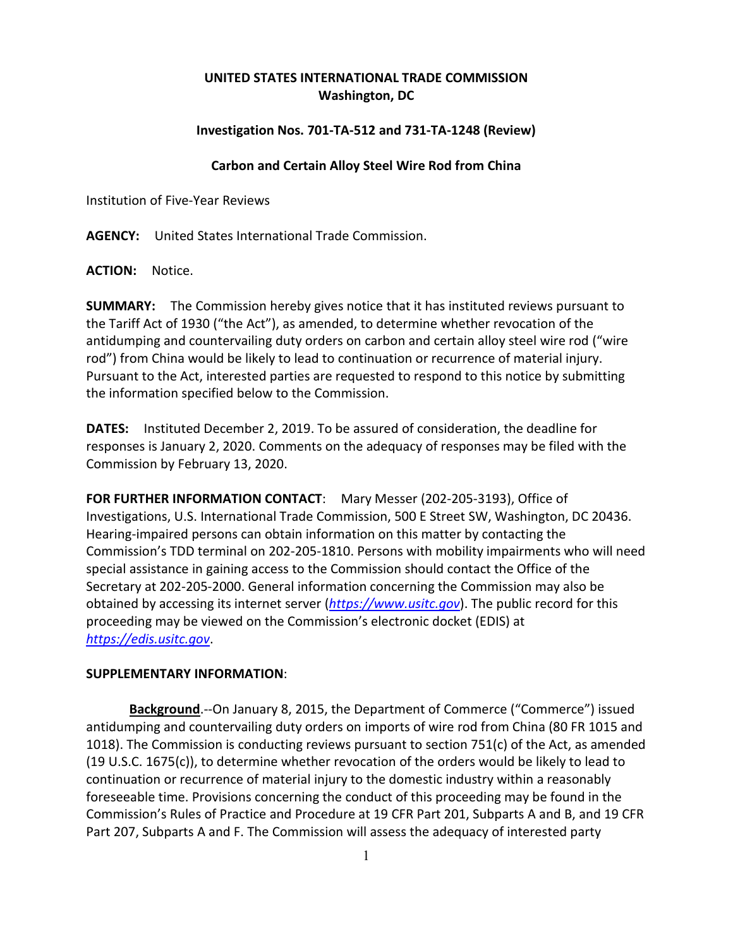## **UNITED STATES INTERNATIONAL TRADE COMMISSION Washington, DC**

## **Investigation Nos. 701-TA-512 and 731-TA-1248 (Review)**

## **Carbon and Certain Alloy Steel Wire Rod from China**

Institution of Five-Year Reviews

**AGENCY:** United States International Trade Commission.

**ACTION:** Notice.

**SUMMARY:** The Commission hereby gives notice that it has instituted reviews pursuant to the Tariff Act of 1930 ("the Act"), as amended, to determine whether revocation of the antidumping and countervailing duty orders on carbon and certain alloy steel wire rod ("wire rod") from China would be likely to lead to continuation or recurrence of material injury. Pursuant to the Act, interested parties are requested to respond to this notice by submitting the information specified below to the Commission.

**DATES:** Instituted December 2, 2019. To be assured of consideration, the deadline for responses is January 2, 2020. Comments on the adequacy of responses may be filed with the Commission by February 13, 2020.

**FOR FURTHER INFORMATION CONTACT**: Mary Messer (202-205-3193), Office of Investigations, U.S. International Trade Commission, 500 E Street SW, Washington, DC 20436. Hearing-impaired persons can obtain information on this matter by contacting the Commission's TDD terminal on 202-205-1810. Persons with mobility impairments who will need special assistance in gaining access to the Commission should contact the Office of the Secretary at 202-205-2000. General information concerning the Commission may also be obtained by accessing its internet server (*[https://www.usitc.gov](https://www.usitc.gov/)*). The public record for this proceeding may be viewed on the Commission's electronic docket (EDIS) at *[https://edis.usitc.gov](https://edis.usitc.gov/)*.

## **SUPPLEMENTARY INFORMATION**:

**Background**.--On January 8, 2015, the Department of Commerce ("Commerce") issued antidumping and countervailing duty orders on imports of wire rod from China (80 FR 1015 and 1018). The Commission is conducting reviews pursuant to section 751(c) of the Act, as amended (19 U.S.C. 1675(c)), to determine whether revocation of the orders would be likely to lead to continuation or recurrence of material injury to the domestic industry within a reasonably foreseeable time. Provisions concerning the conduct of this proceeding may be found in the Commission's Rules of Practice and Procedure at 19 CFR Part 201, Subparts A and B, and 19 CFR Part 207, Subparts A and F. The Commission will assess the adequacy of interested party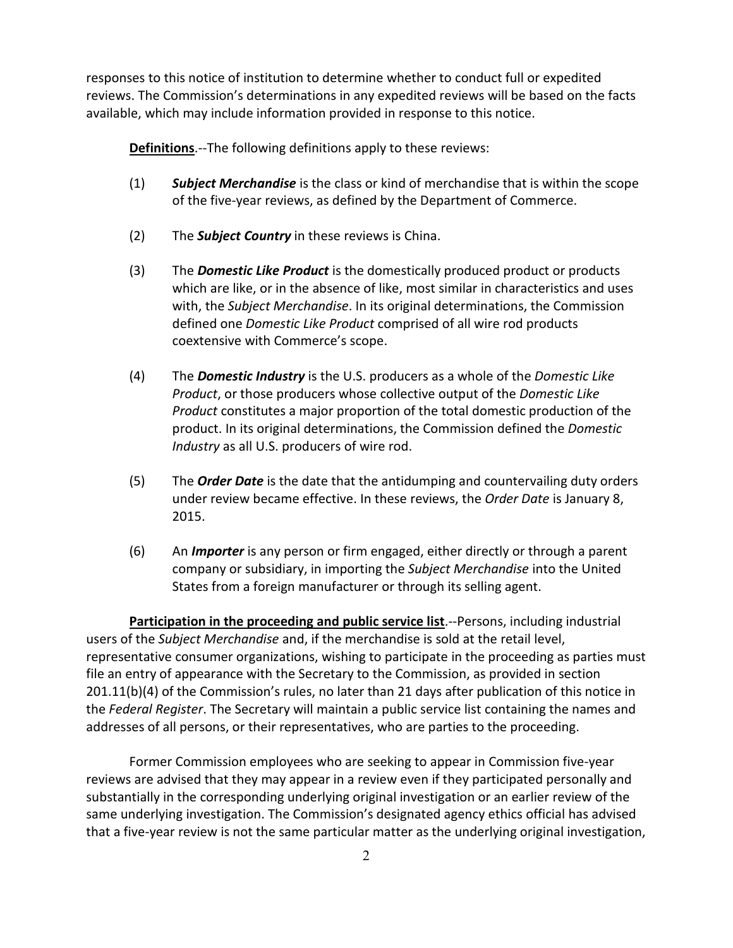responses to this notice of institution to determine whether to conduct full or expedited reviews. The Commission's determinations in any expedited reviews will be based on the facts available, which may include information provided in response to this notice.

**Definitions**.--The following definitions apply to these reviews:

- (1) *Subject Merchandise* is the class or kind of merchandise that is within the scope of the five-year reviews, as defined by the Department of Commerce.
- (2) The *Subject Country* in these reviews is China.
- (3) The *Domestic Like Product* is the domestically produced product or products which are like, or in the absence of like, most similar in characteristics and uses with, the *Subject Merchandise*. In its original determinations, the Commission defined one *Domestic Like Product* comprised of all wire rod products coextensive with Commerce's scope.
- (4) The *Domestic Industry* is the U.S. producers as a whole of the *Domestic Like Product*, or those producers whose collective output of the *Domestic Like Product* constitutes a major proportion of the total domestic production of the product. In its original determinations, the Commission defined the *Domestic Industry* as all U.S. producers of wire rod.
- (5) The *Order Date* is the date that the antidumping and countervailing duty orders under review became effective. In these reviews, the *Order Date* is January 8, 2015.
- (6) An *Importer* is any person or firm engaged, either directly or through a parent company or subsidiary, in importing the *Subject Merchandise* into the United States from a foreign manufacturer or through its selling agent.

**Participation in the proceeding and public service list**.--Persons, including industrial users of the *Subject Merchandise* and, if the merchandise is sold at the retail level, representative consumer organizations, wishing to participate in the proceeding as parties must file an entry of appearance with the Secretary to the Commission, as provided in section 201.11(b)(4) of the Commission's rules, no later than 21 days after publication of this notice in the *Federal Register*. The Secretary will maintain a public service list containing the names and addresses of all persons, or their representatives, who are parties to the proceeding.

Former Commission employees who are seeking to appear in Commission five-year reviews are advised that they may appear in a review even if they participated personally and substantially in the corresponding underlying original investigation or an earlier review of the same underlying investigation. The Commission's designated agency ethics official has advised that a five-year review is not the same particular matter as the underlying original investigation,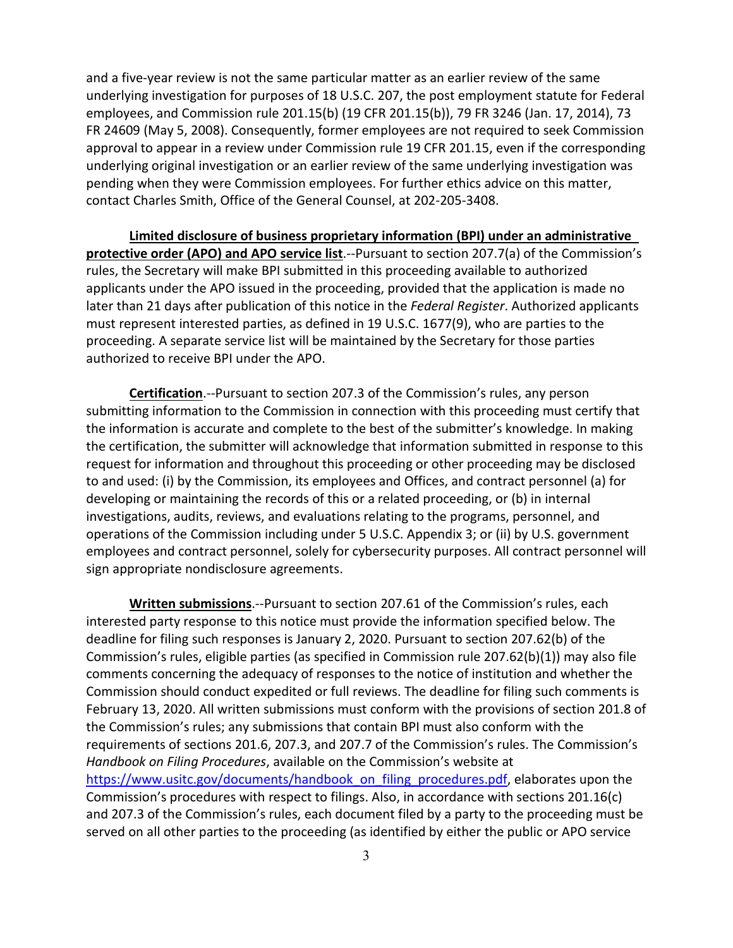and a five-year review is not the same particular matter as an earlier review of the same underlying investigation for purposes of 18 U.S.C. 207, the post employment statute for Federal employees, and Commission rule 201.15(b) (19 CFR 201.15(b)), 79 FR 3246 (Jan. 17, 2014), 73 FR 24609 (May 5, 2008). Consequently, former employees are not required to seek Commission approval to appear in a review under Commission rule 19 CFR 201.15, even if the corresponding underlying original investigation or an earlier review of the same underlying investigation was pending when they were Commission employees. For further ethics advice on this matter, contact Charles Smith, Office of the General Counsel, at 202-205-3408.

**Limited disclosure of business proprietary information (BPI) under an administrative protective order (APO) and APO service list**.--Pursuant to section 207.7(a) of the Commission's rules, the Secretary will make BPI submitted in this proceeding available to authorized applicants under the APO issued in the proceeding, provided that the application is made no later than 21 days after publication of this notice in the *Federal Register*. Authorized applicants must represent interested parties, as defined in 19 U.S.C. 1677(9), who are parties to the proceeding. A separate service list will be maintained by the Secretary for those parties authorized to receive BPI under the APO.

**Certification**.--Pursuant to section 207.3 of the Commission's rules, any person submitting information to the Commission in connection with this proceeding must certify that the information is accurate and complete to the best of the submitter's knowledge. In making the certification, the submitter will acknowledge that information submitted in response to this request for information and throughout this proceeding or other proceeding may be disclosed to and used: (i) by the Commission, its employees and Offices, and contract personnel (a) for developing or maintaining the records of this or a related proceeding, or (b) in internal investigations, audits, reviews, and evaluations relating to the programs, personnel, and operations of the Commission including under 5 U.S.C. Appendix 3; or (ii) by U.S. government employees and contract personnel, solely for cybersecurity purposes. All contract personnel will sign appropriate nondisclosure agreements.

**Written submissions**.--Pursuant to section 207.61 of the Commission's rules, each interested party response to this notice must provide the information specified below. The deadline for filing such responses is January 2, 2020. Pursuant to section 207.62(b) of the Commission's rules, eligible parties (as specified in Commission rule 207.62(b)(1)) may also file comments concerning the adequacy of responses to the notice of institution and whether the Commission should conduct expedited or full reviews. The deadline for filing such comments is February 13, 2020. All written submissions must conform with the provisions of section 201.8 of the Commission's rules; any submissions that contain BPI must also conform with the requirements of sections 201.6, 207.3, and 207.7 of the Commission's rules. The Commission's *Handbook on Filing Procedures*, available on the Commission's website at [https://www.usitc.gov/documents/handbook\\_on\\_filing\\_procedures.pdf,](https://www.usitc.gov/documents/handbook_on_filing_procedures.pdf) elaborates upon the Commission's procedures with respect to filings. Also, in accordance with sections 201.16(c) and 207.3 of the Commission's rules, each document filed by a party to the proceeding must be served on all other parties to the proceeding (as identified by either the public or APO service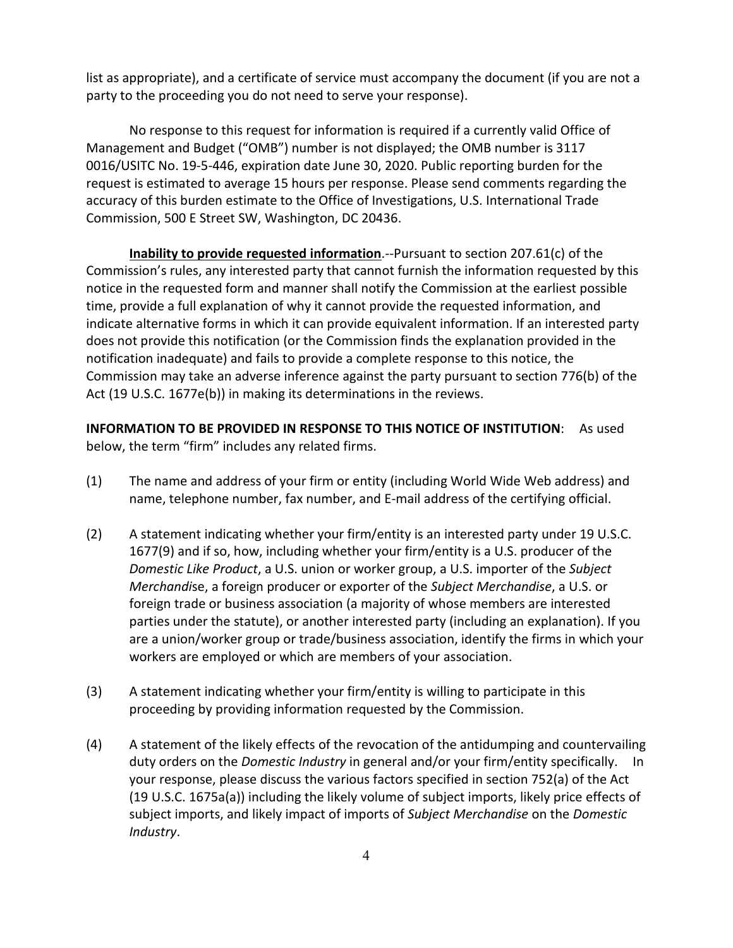list as appropriate), and a certificate of service must accompany the document (if you are not a party to the proceeding you do not need to serve your response).

No response to this request for information is required if a currently valid Office of Management and Budget ("OMB") number is not displayed; the OMB number is 3117 0016/USITC No. 19-5-446, expiration date June 30, 2020. Public reporting burden for the request is estimated to average 15 hours per response. Please send comments regarding the accuracy of this burden estimate to the Office of Investigations, U.S. International Trade Commission, 500 E Street SW, Washington, DC 20436.

**Inability to provide requested information**.--Pursuant to section 207.61(c) of the Commission's rules, any interested party that cannot furnish the information requested by this notice in the requested form and manner shall notify the Commission at the earliest possible time, provide a full explanation of why it cannot provide the requested information, and indicate alternative forms in which it can provide equivalent information. If an interested party does not provide this notification (or the Commission finds the explanation provided in the notification inadequate) and fails to provide a complete response to this notice, the Commission may take an adverse inference against the party pursuant to section 776(b) of the Act (19 U.S.C. 1677e(b)) in making its determinations in the reviews.

**INFORMATION TO BE PROVIDED IN RESPONSE TO THIS NOTICE OF INSTITUTION**: As used below, the term "firm" includes any related firms.

- (1) The name and address of your firm or entity (including World Wide Web address) and name, telephone number, fax number, and E-mail address of the certifying official.
- (2) A statement indicating whether your firm/entity is an interested party under 19 U.S.C. 1677(9) and if so, how, including whether your firm/entity is a U.S. producer of the *Domestic Like Product*, a U.S. union or worker group, a U.S. importer of the *Subject Merchandi*se, a foreign producer or exporter of the *Subject Merchandise*, a U.S. or foreign trade or business association (a majority of whose members are interested parties under the statute), or another interested party (including an explanation). If you are a union/worker group or trade/business association, identify the firms in which your workers are employed or which are members of your association.
- (3) A statement indicating whether your firm/entity is willing to participate in this proceeding by providing information requested by the Commission.
- (4) A statement of the likely effects of the revocation of the antidumping and countervailing duty orders on the *Domestic Industry* in general and/or your firm/entity specifically. In your response, please discuss the various factors specified in section 752(a) of the Act (19 U.S.C. 1675a(a)) including the likely volume of subject imports, likely price effects of subject imports, and likely impact of imports of *Subject Merchandise* on the *Domestic Industry*.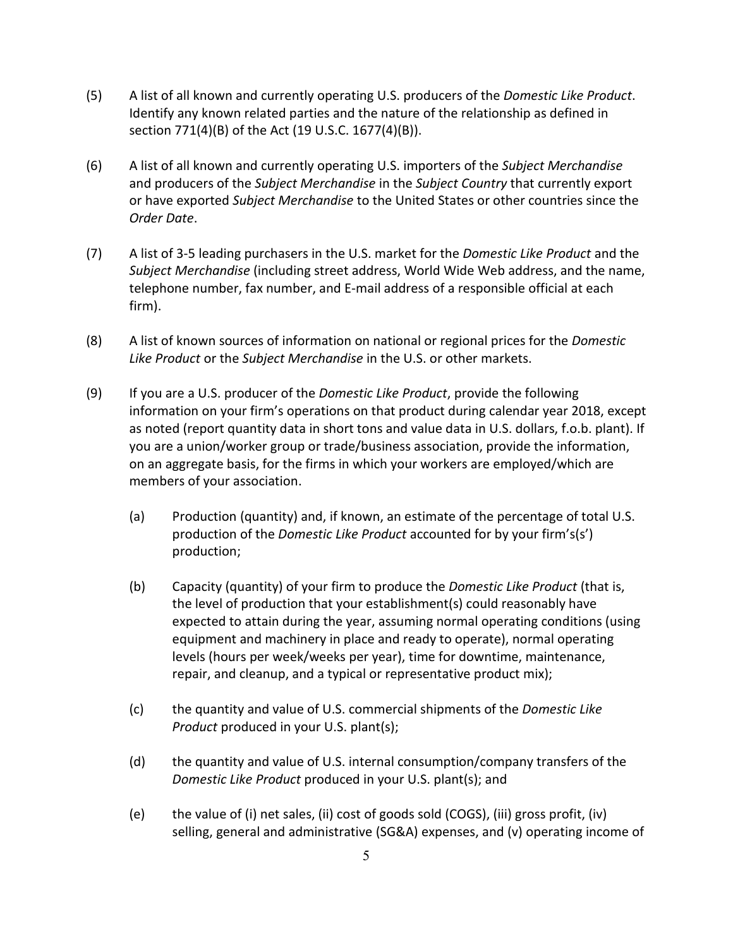- (5) A list of all known and currently operating U.S. producers of the *Domestic Like Product*. Identify any known related parties and the nature of the relationship as defined in section 771(4)(B) of the Act (19 U.S.C. 1677(4)(B)).
- (6) A list of all known and currently operating U.S. importers of the *Subject Merchandise* and producers of the *Subject Merchandise* in the *Subject Country* that currently export or have exported *Subject Merchandise* to the United States or other countries since the *Order Date*.
- (7) A list of 3-5 leading purchasers in the U.S. market for the *Domestic Like Product* and the *Subject Merchandise* (including street address, World Wide Web address, and the name, telephone number, fax number, and E-mail address of a responsible official at each firm).
- (8) A list of known sources of information on national or regional prices for the *Domestic Like Product* or the *Subject Merchandise* in the U.S. or other markets.
- (9) If you are a U.S. producer of the *Domestic Like Product*, provide the following information on your firm's operations on that product during calendar year 2018, except as noted (report quantity data in short tons and value data in U.S. dollars, f.o.b. plant). If you are a union/worker group or trade/business association, provide the information, on an aggregate basis, for the firms in which your workers are employed/which are members of your association.
	- (a) Production (quantity) and, if known, an estimate of the percentage of total U.S. production of the *Domestic Like Product* accounted for by your firm's(s') production;
	- (b) Capacity (quantity) of your firm to produce the *Domestic Like Product* (that is, the level of production that your establishment(s) could reasonably have expected to attain during the year, assuming normal operating conditions (using equipment and machinery in place and ready to operate), normal operating levels (hours per week/weeks per year), time for downtime, maintenance, repair, and cleanup, and a typical or representative product mix);
	- (c) the quantity and value of U.S. commercial shipments of the *Domestic Like Product* produced in your U.S. plant(s);
	- (d) the quantity and value of U.S. internal consumption/company transfers of the *Domestic Like Product* produced in your U.S. plant(s); and
	- (e) the value of (i) net sales, (ii) cost of goods sold (COGS), (iii) gross profit, (iv) selling, general and administrative (SG&A) expenses, and (v) operating income of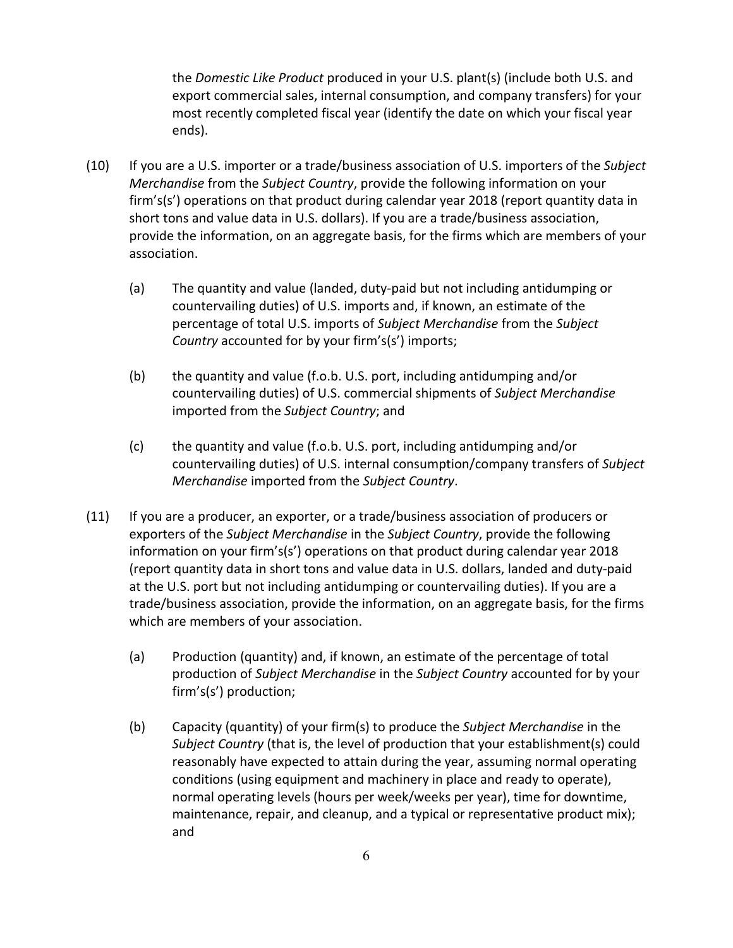the *Domestic Like Product* produced in your U.S. plant(s) (include both U.S. and export commercial sales, internal consumption, and company transfers) for your most recently completed fiscal year (identify the date on which your fiscal year ends).

- (10) If you are a U.S. importer or a trade/business association of U.S. importers of the *Subject Merchandise* from the *Subject Country*, provide the following information on your firm's(s') operations on that product during calendar year 2018 (report quantity data in short tons and value data in U.S. dollars). If you are a trade/business association, provide the information, on an aggregate basis, for the firms which are members of your association.
	- (a) The quantity and value (landed, duty-paid but not including antidumping or countervailing duties) of U.S. imports and, if known, an estimate of the percentage of total U.S. imports of *Subject Merchandise* from the *Subject Country* accounted for by your firm's(s') imports;
	- (b) the quantity and value (f.o.b. U.S. port, including antidumping and/or countervailing duties) of U.S. commercial shipments of *Subject Merchandise* imported from the *Subject Country*; and
	- (c) the quantity and value (f.o.b. U.S. port, including antidumping and/or countervailing duties) of U.S. internal consumption/company transfers of *Subject Merchandise* imported from the *Subject Country*.
- (11) If you are a producer, an exporter, or a trade/business association of producers or exporters of the *Subject Merchandise* in the *Subject Country*, provide the following information on your firm's(s') operations on that product during calendar year 2018 (report quantity data in short tons and value data in U.S. dollars, landed and duty-paid at the U.S. port but not including antidumping or countervailing duties). If you are a trade/business association, provide the information, on an aggregate basis, for the firms which are members of your association.
	- (a) Production (quantity) and, if known, an estimate of the percentage of total production of *Subject Merchandise* in the *Subject Country* accounted for by your firm's(s') production;
	- (b) Capacity (quantity) of your firm(s) to produce the *Subject Merchandise* in the *Subject Country* (that is, the level of production that your establishment(s) could reasonably have expected to attain during the year, assuming normal operating conditions (using equipment and machinery in place and ready to operate), normal operating levels (hours per week/weeks per year), time for downtime, maintenance, repair, and cleanup, and a typical or representative product mix); and